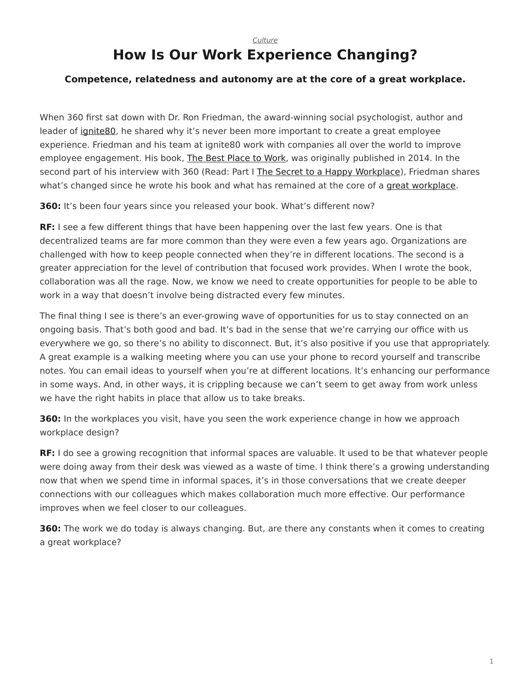## **How Is Our Work Experience Changing?**

## <span id="page-0-0"></span>**Competence, relatedness and autonomy are at the core of a great workplace.**

When 360 first sat down with Dr. Ron Friedman, the award-winning social psychologist, author and leader of [ignite80](https://www.ignite80.com/), he shared why it's never been more important to create a great employee experience. Friedman and his team at ignite80 work with companies all over the world to improve employee engagement. His book, [The Best Place to Work,](https://www.amazon.com/Best-Place-Work-Extraordinary-Workplace/dp/0399165606) was originally published in 2014. In the second part of his interview with 360 (Read: Part I [The Secret to a Happy Workplace\)](https://www.steelcase.com/research/articles/secret-happy-workplace-ron-friedman-qa/), Friedman shares what's changed since he wrote his book and what has remained at the core of a [great workplace.](https://www.steelcase.com/research/articles/topics/wellbeing/building-wellbeing-into-the-workplace/)

**360:** It's been four years since you released your book. What's different now?

**RF:** I see a few different things that have been happening over the last few years. One is that decentralized teams are far more common than they were even a few years ago. Organizations are challenged with how to keep people connected when they're in different locations. The second is a greater appreciation for the level of contribution that focused work provides. When I wrote the book, collaboration was all the rage. Now, we know we need to create opportunities for people to be able to work in a way that doesn't involve being distracted every few minutes.

The final thing I see is there's an ever-growing wave of opportunities for us to stay connected on an ongoing basis. That's both good and bad. It's bad in the sense that we're carrying our office with us everywhere we go, so there's no ability to disconnect. But, it's also positive if you use that appropriately. A great example is a walking meeting where you can use your phone to record yourself and transcribe notes. You can email ideas to yourself when you're at different locations. It's enhancing our performance in some ways. And, in other ways, it is crippling because we can't seem to get away from work unless we have the right habits in place that allow us to take breaks.

**360:** In the workplaces you visit, have you seen the work experience change in how we approach workplace design?

**RF:** I do see a growing recognition that informal spaces are valuable. It used to be that whatever people were doing away from their desk was viewed as a waste of time. I think there's a growing understanding now that when we spend time in informal spaces, it's in those conversations that we create deeper connections with our colleagues which makes collaboration much more effective. Our performance improves when we feel closer to our colleagues.

**360:** The work we do today is always changing. But, are there any constants when it comes to creating a great workplace?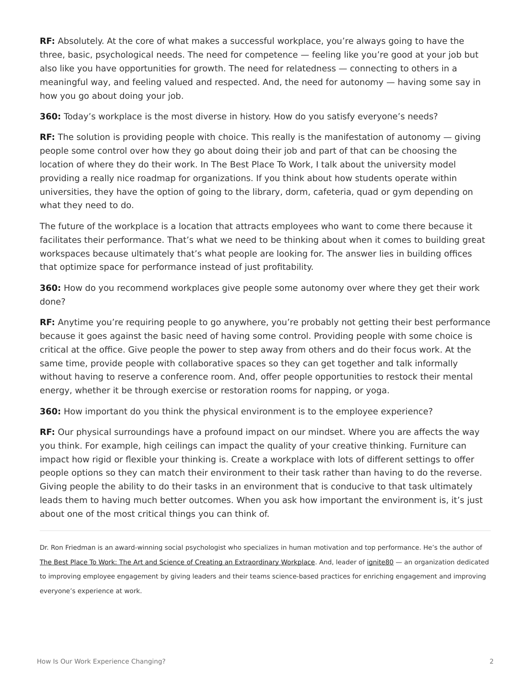**RF:** Absolutely. At the core of what makes a successful workplace, you're always going to have the three, basic, psychological needs. The need for competence — feeling like you're good at your job but also like you have opportunities for growth. The need for relatedness — connecting to others in a meaningful way, and feeling valued and respected. And, the need for autonomy — having some say in how you go about doing your job.

**360:** Today's workplace is the most diverse in history. How do you satisfy everyone's needs?

**RF:** The solution is providing people with choice. This really is the manifestation of autonomy — giving people some control over how they go about doing their job and part of that can be choosing the location of where they do their work. In The Best Place To Work, I talk about the university model providing a really nice roadmap for organizations. If you think about how students operate within universities, they have the option of going to the library, dorm, cafeteria, quad or gym depending on what they need to do.

The future of the workplace is a location that attracts employees who want to come there because it facilitates their performance. That's what we need to be thinking about when it comes to building great workspaces because ultimately that's what people are looking for. The answer lies in building offices that optimize space for performance instead of just profitability.

**360:** How do you recommend workplaces give people some autonomy over where they get their work done?

**RF:** Anytime you're requiring people to go anywhere, you're probably not getting their best performance because it goes against the basic need of having some control. Providing people with some choice is critical at the office. Give people the power to step away from others and do their focus work. At the same time, provide people with collaborative spaces so they can get together and talk informally without having to reserve a conference room. And, offer people opportunities to restock their mental energy, whether it be through exercise or restoration rooms for napping, or yoga.

**360:** How important do you think the physical environment is to the employee experience?

**RF:** Our physical surroundings have a profound impact on our mindset. Where you are affects the way you think. For example, high ceilings can impact the quality of your creative thinking. Furniture can impact how rigid or flexible your thinking is. Create a workplace with lots of different settings to offer people options so they can match their environment to their task rather than having to do the reverse. Giving people the ability to do their tasks in an environment that is conducive to that task ultimately leads them to having much better outcomes. When you ask how important the environment is, it's just about one of the most critical things you can think of.

Dr. Ron Friedman is an award-winning social psychologist who specializes in human motivation and top performance. He's the author of [The Best Place To Work: The Art and Science of Creating an Extraordinary Workplace](https://www.amazon.com/Best-Place-Work-Extraordinary-Workplace/dp/0399165606). And, leader of [ignite80](https://www.ignite80.com/) — an organization dedicated to improving employee engagement by giving leaders and their teams science-based practices for enriching engagement and improving everyone's experience at work.